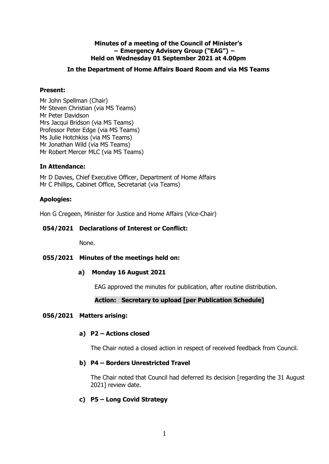## **Minutes of a meeting of the Council of Minister's − Emergency Advisory Group ("EAG") − Held on Wednesday 01 September 2021 at 4.00pm**

# **In the Department of Home Affairs Board Room and via MS Teams**

## **Present:**

Mr John Spellman (Chair) Mr Steven Christian (via MS Teams) Mr Peter Davidson Mrs Jacqui Bridson (via MS Teams) Professor Peter Edge (via MS Teams) Ms Julie Hotchkiss (via MS Teams) Mr Jonathan Wild (via MS Teams) Mr Robert Mercer MLC (via MS Teams)

## **In Attendance:**

Mr D Davies, Chief Executive Officer, Department of Home Affairs Mr C Phillips, Cabinet Office, Secretariat (via Teams)

## **Apologies:**

Hon G Cregeen, Minister for Justice and Home Affairs (Vice-Chair)

# **054/2021 Declarations of Interest or Conflict:**

None.

# **055/2021 Minutes of the meetings held on:**

## **a) Monday 16 August 2021**

EAG approved the minutes for publication, after routine distribution.

# **Action: Secretary to upload [per Publication Schedule]**

## **056/2021 Matters arising:**

## **a) P2 – Actions closed**

The Chair noted a closed action in respect of received feedback from Council.

# **b) P4 – Borders Unrestricted Travel**

The Chair noted that Council had deferred its decision [regarding the 31 August 2021] review date.

# **c) P5 – Long Covid Strategy**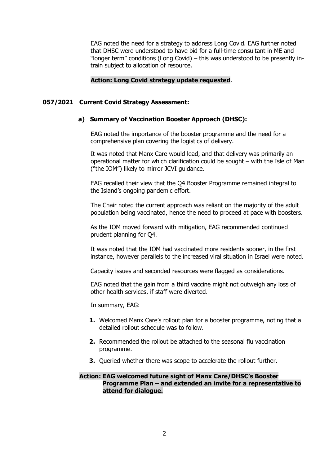EAG noted the need for a strategy to address Long Covid. EAG further noted that DHSC were understood to have bid for a full-time consultant in ME and "longer term" conditions (Long Covid) – this was understood to be presently intrain subject to allocation of resource.

#### **Action: Long Covid strategy update requested**.

#### **057/2021 Current Covid Strategy Assessment:**

#### **a) Summary of Vaccination Booster Approach (DHSC):**

 EAG noted the importance of the booster programme and the need for a comprehensive plan covering the logistics of delivery.

It was noted that Manx Care would lead, and that delivery was primarily an operational matter for which clarification could be sought – with the Isle of Man ("the IOM") likely to mirror JCVI guidance.

EAG recalled their view that the Q4 Booster Programme remained integral to the Island's ongoing pandemic effort.

The Chair noted the current approach was reliant on the majority of the adult population being vaccinated, hence the need to proceed at pace with boosters.

As the IOM moved forward with mitigation, EAG recommended continued prudent planning for Q4.

It was noted that the IOM had vaccinated more residents sooner, in the first instance, however parallels to the increased viral situation in Israel were noted.

Capacity issues and seconded resources were flagged as considerations.

EAG noted that the gain from a third vaccine might not outweigh any loss of other health services, if staff were diverted.

In summary, EAG:

- **1.** Welcomed Manx Care's rollout plan for a booster programme, noting that a detailed rollout schedule was to follow.
- **2.** Recommended the rollout be attached to the seasonal flu vaccination programme.
- **3.** Queried whether there was scope to accelerate the rollout further.

#### **Action: EAG welcomed future sight of Manx Care/DHSC's Booster Programme Plan – and extended an invite for a representative to attend for dialogue.**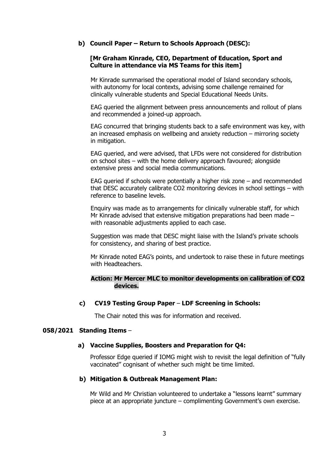## **b) Council Paper – Return to Schools Approach (DESC):**

#### **[Mr Graham Kinrade, CEO, Department of Education, Sport and Culture in attendance via MS Teams for this item]**

Mr Kinrade summarised the operational model of Island secondary schools, with autonomy for local contexts, advising some challenge remained for clinically vulnerable students and Special Educational Needs Units.

EAG queried the alignment between press announcements and rollout of plans and recommended a joined-up approach.

EAG concurred that bringing students back to a safe environment was key, with an increased emphasis on wellbeing and anxiety reduction – mirroring society in mitigation.

EAG queried, and were advised, that LFDs were not considered for distribution on school sites – with the home delivery approach favoured; alongside extensive press and social media communications.

EAG queried if schools were potentially a higher risk zone – and recommended that DESC accurately calibrate CO2 monitoring devices in school settings – with reference to baseline levels.

Enquiry was made as to arrangements for clinically vulnerable staff, for which Mr Kinrade advised that extensive mitigation preparations had been made – with reasonable adjustments applied to each case.

Suggestion was made that DESC might liaise with the Island's private schools for consistency, and sharing of best practice.

Mr Kinrade noted EAG's points, and undertook to raise these in future meetings with Headteachers.

## **Action: Mr Mercer MLC to monitor developments on calibration of CO2 devices.**

#### **c) CV19 Testing Group Paper** – **LDF Screening in Schools:**

The Chair noted this was for information and received.

#### **058/2021 Standing Items** –

#### **a) Vaccine Supplies, Boosters and Preparation for Q4:**

Professor Edge queried if IOMG might wish to revisit the legal definition of "fully vaccinated" cognisant of whether such might be time limited.

#### **b) Mitigation & Outbreak Management Plan:**

Mr Wild and Mr Christian volunteered to undertake a "lessons learnt" summary piece at an appropriate juncture – complimenting Government's own exercise.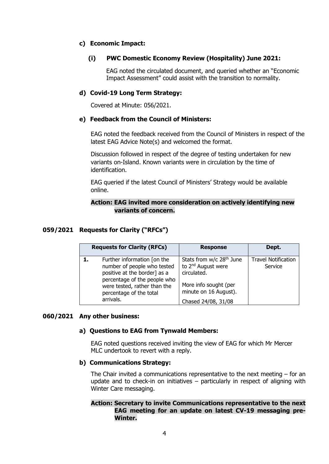## **c) Economic Impact:**

# **(i) PWC Domestic Economy Review (Hospitality) June 2021:**

EAG noted the circulated document, and queried whether an "Economic Impact Assessment" could assist with the transition to normality.

## **d) Covid-19 Long Term Strategy:**

Covered at Minute: 056/2021.

## **e) Feedback from the Council of Ministers:**

EAG noted the feedback received from the Council of Ministers in respect of the latest EAG Advice Note(s) and welcomed the format.

Discussion followed in respect of the degree of testing undertaken for new variants on-Island. Known variants were in circulation by the time of identification.

EAG queried if the latest Council of Ministers' Strategy would be available online.

## **Action: EAG invited more consideration on actively identifying new variants of concern.**

#### **059/2021 Requests for Clarity ("RFCs")**

| <b>Requests for Clarity (RFCs)</b> |                                                                                                                                                                                                    | <b>Response</b>                                                                                                                                                | Dept.                                 |
|------------------------------------|----------------------------------------------------------------------------------------------------------------------------------------------------------------------------------------------------|----------------------------------------------------------------------------------------------------------------------------------------------------------------|---------------------------------------|
|                                    | Further information [on the<br>number of people who tested<br>positive at the border] as a<br>percentage of the people who<br>were tested, rather than the<br>percentage of the total<br>arrivals. | Stats from w/c 28 <sup>th</sup> June<br>to 2 <sup>nd</sup> August were<br>circulated.<br>More info sought (per<br>minute on 16 August).<br>Chased 24/08, 31/08 | <b>Travel Notification</b><br>Service |

#### **060/2021 Any other business:**

## **a) Questions to EAG from Tynwald Members:**

EAG noted questions received inviting the view of EAG for which Mr Mercer MLC undertook to revert with a reply.

## **b) Communications Strategy:**

The Chair invited a communications representative to the next meeting  $-$  for an update and to check-in on initiatives – particularly in respect of aligning with Winter Care messaging.

## **Action: Secretary to invite Communications representative to the next EAG meeting for an update on latest CV-19 messaging pre-Winter.**